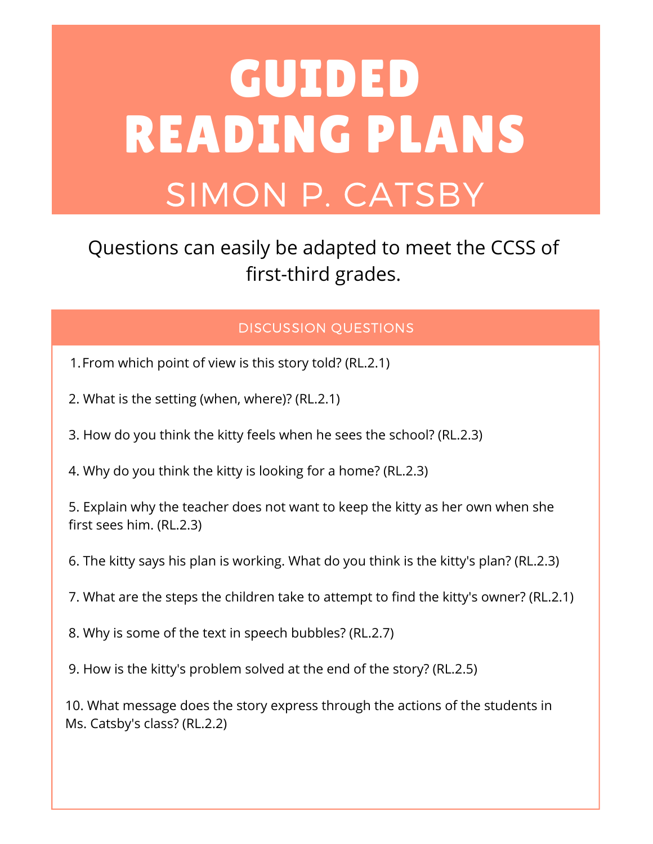# GUIDED READING PLANS SIMON P. CATSBY

#### Questions can easily be adapted to meet the CCSS of first-third grades.

#### DISCUSSION QUESTIONS

- 1.From which point of view is this story told? (RL.2.1)
- 2. What is the setting (when, where)? (RL.2.1)
- 3. How do you think the kitty feels when he sees the school? (RL.2.3)
- 4. Why do you think the kitty is looking for a home? (RL.2.3)

5. Explain why the teacher does not want to keep the kitty as her own when she first sees him. (RL.2.3)

- 6. The kitty says his plan is working. What do you think is the kitty's plan? (RL.2.3)
- 7. What are the steps the children take to attempt to find the kitty's owner? (RL.2.1)
- 8. Why is some of the text in speech bubbles? (RL.2.7)
- 9. How is the kitty's problem solved at the end of the story? (RL.2.5)

10. What message does the story express through the actions of the students in Ms. Catsby's class? (RL.2.2)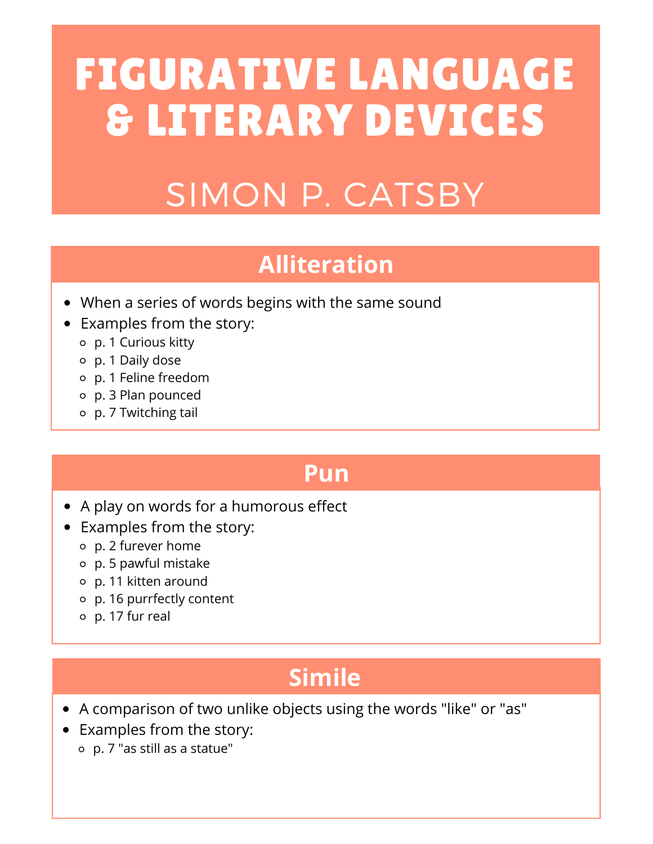## FIGURATIVE LANGUAGE & LITERARY DEVICES

## SIMON P. CATSBY

#### **Alliteration**

- When a series of words begins with the same sound
- Examples from the story:
	- p. 1 Curious kitty
	- p. 1 Daily dose
	- p. 1 Feline freedom
	- p. 3 Plan pounced
	- p. 7 Twitching tail

#### **Pun**

- A play on words for a humorous effect
- Examples from the story:
	- p. 2 furever home
	- p. 5 pawful mistake
	- p. 11 kitten around
	- p. 16 purrfectly content
	- p. 17 fur real

### **Simile**

- A comparison of two unlike objects using the words "like" or "as"
- Examples from the story:
	- p. 7 "as still as a statue"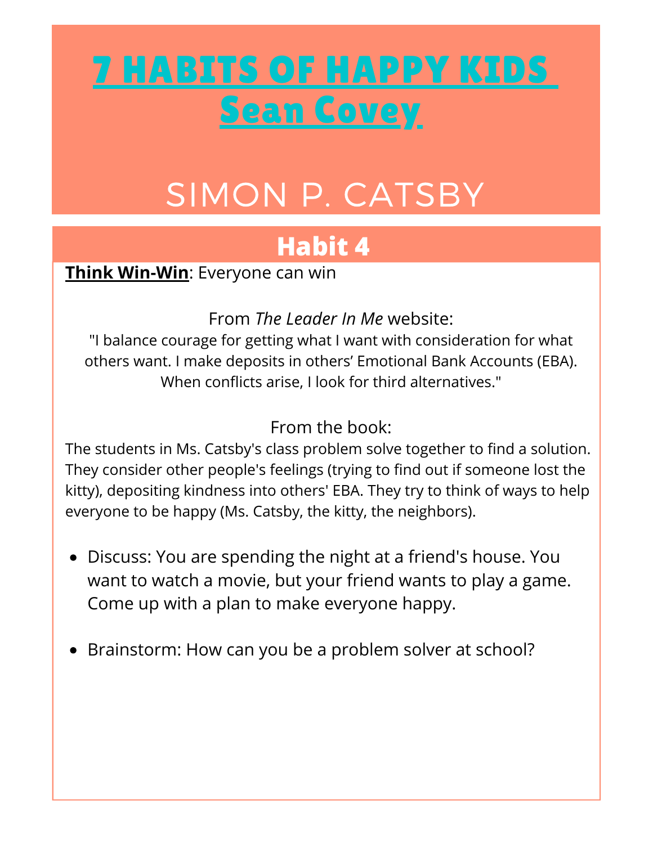## 7 [HABITS](https://www.leaderinme.org/the-7-habits-of-happy-kids/) OF HAPPY KIDS Sean [Covey](https://www.leaderinme.org/the-7-habits-of-happy-kids/)

## SIMON P. CATSBY

### **Habit 4**

**Think Win-Win**: Everyone can win

From *The Leader In Me* website:

"I balance courage for getting what I want with consideration for what others want. I make deposits in others' Emotional Bank Accounts (EBA). When conflicts arise, I look for third alternatives."

From the book:

The students in Ms. Catsby's class problem solve together to find a solution. They consider other people's feelings (trying to find out if someone lost the kitty), depositing kindness into others' EBA. They try to think of ways to help everyone to be happy (Ms. Catsby, the kitty, the neighbors).

- Discuss: You are spending the night at a friend's house. You want to watch a movie, but your friend wants to play a game. Come up with a plan to make everyone happy.
- Brainstorm: How can you be a problem solver at school?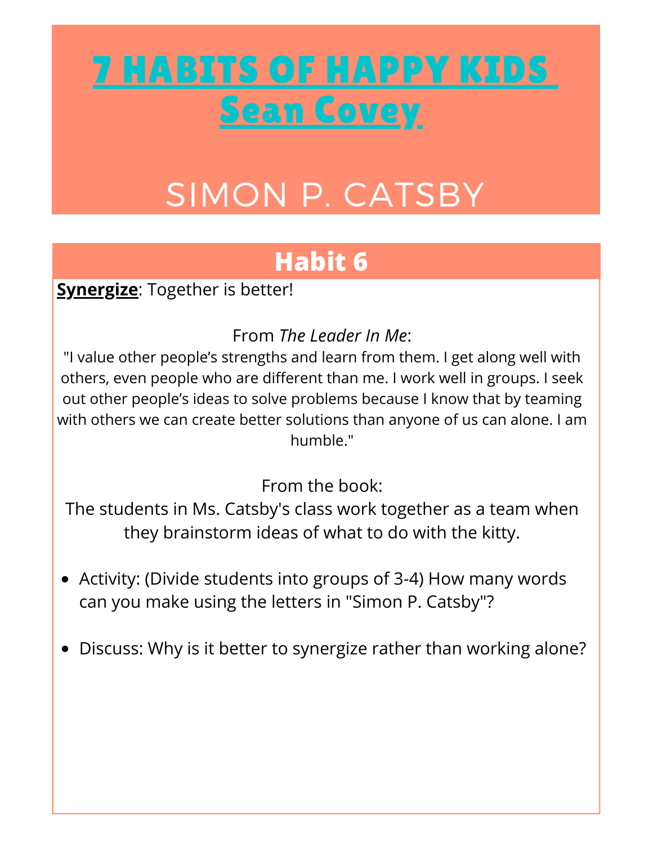## 7 [HABITS](https://www.leaderinme.org/the-7-habits-of-happy-kids/) OF HAPPY KIDS Sean [Covey](https://www.leaderinme.org/the-7-habits-of-happy-kids/)

## SIMON P. CATSBY

### **Habit 6**

**Synergize**: Together is better!

From *The Leader In Me*:

"I value other people's strengths and learn from them. I get along well with others, even people who are different than me. I work well in groups. I seek out other people's ideas to solve problems because I know that by teaming with others we can create better solutions than anyone of us can alone. I am humble."

From the book:

The students in Ms. Catsby's class work together as a team when they brainstorm ideas of what to do with the kitty. **Habit 6**

- Activity: (Divide students into groups of 3-4) How many words can you make using the letters in "Simon P. Catsby"?
- Discuss: Why is it better to synergize rather than working alone?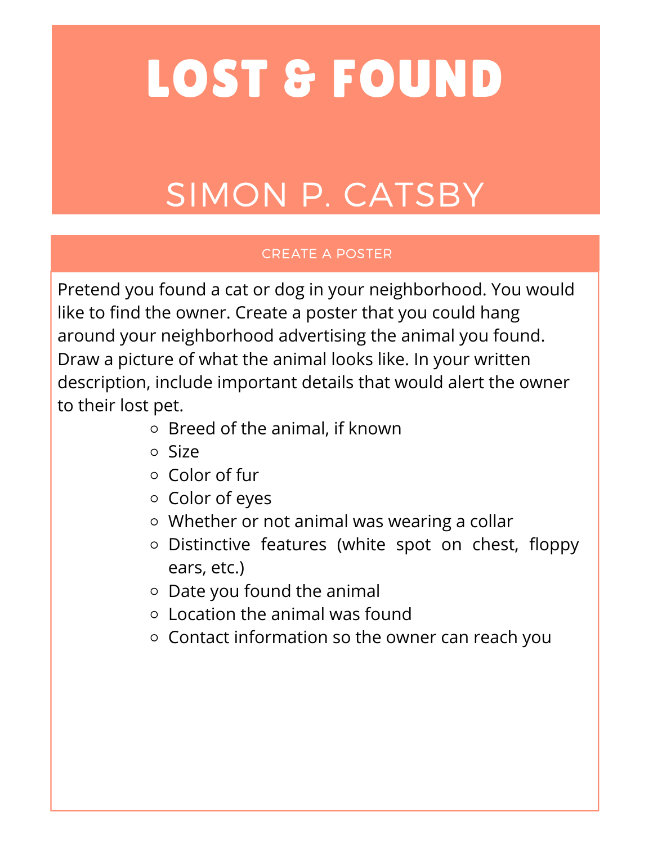# LOST & FOUND

## SIMON P. CATSBY

#### CREATE A POSTER

Pretend you found a cat or dog in your neighborhood. You would like to find the owner. Create a poster that you could hang around your neighborhood advertising the animal you found. Draw a picture of what the animal looks like. In your written description, include important details that would alert the owner to their lost pet.

- Breed of the animal, if known
- Size
- $\circ$  Color of fur
- o Color of eyes
- Whether or not animal was wearing a collar
- o Distinctive features (white spot on chest, floppy ears, etc.)
- $\circ$  Date you found the animal
- Location the animal was found
- $\circ$  Contact information so the owner can reach you